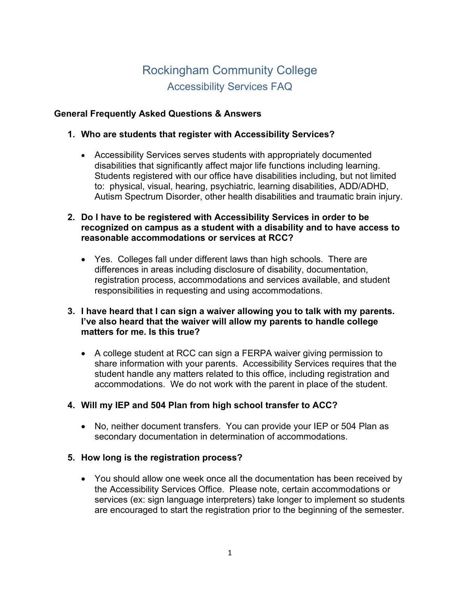# Rockingham Community College Accessibility Services FAQ

## **General Frequently Asked Questions & Answers**

#### **1. Who are students that register with Accessibility Services?**

- Accessibility Services serves students with appropriately documented disabilities that significantly affect major life functions including learning. Students registered with our office have disabilities including, but not limited to: physical, visual, hearing, psychiatric, learning disabilities, ADD/ADHD, Autism Spectrum Disorder, other health disabilities and traumatic brain injury.
- **2. Do I have to be registered with Accessibility Services in order to be recognized on campus as a student with a disability and to have access to reasonable accommodations or services at RCC?** 
	- Yes. Colleges fall under different laws than high schools. There are differences in areas including disclosure of disability, documentation, registration process, accommodations and services available, and student responsibilities in requesting and using accommodations.
- **3. I have heard that I can sign a waiver allowing you to talk with my parents. I've also heard that the waiver will allow my parents to handle college matters for me. Is this true?** 
	- A college student at RCC can sign a FERPA waiver giving permission to share information with your parents. Accessibility Services requires that the student handle any matters related to this office, including registration and accommodations. We do not work with the parent in place of the student.

# **4. Will my IEP and 504 Plan from high school transfer to ACC?**

• No, neither document transfers. You can provide your IEP or 504 Plan as secondary documentation in determination of accommodations.

#### **5. How long is the registration process?**

• You should allow one week once all the documentation has been received by the Accessibility Services Office. Please note, certain accommodations or services (ex: sign language interpreters) take longer to implement so students are encouraged to start the registration prior to the beginning of the semester.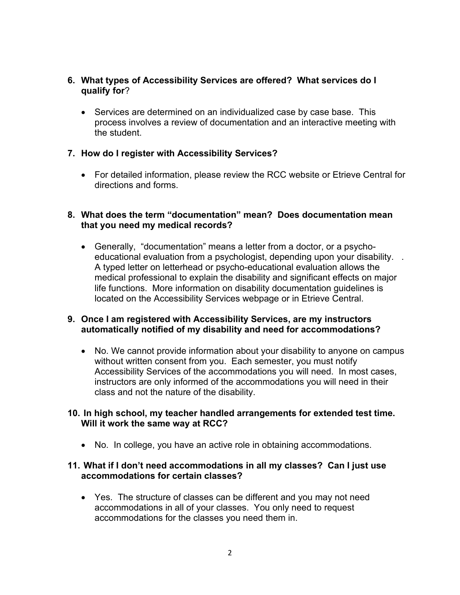### **6. What types of Accessibility Services are offered? What services do I qualify for**?

• Services are determined on an individualized case by case base. This process involves a review of documentation and an interactive meeting with the student.

## **7. How do I register with Accessibility Services?**

• For detailed information, please review the RCC website or Etrieve Central for directions and forms.

#### **8. What does the term "documentation" mean? Does documentation mean that you need my medical records?**

• Generally, "documentation" means a letter from a doctor, or a psychoeducational evaluation from a psychologist, depending upon your disability. . A typed letter on letterhead or psycho-educational evaluation allows the medical professional to explain the disability and significant effects on major life functions. More information on disability documentation guidelines is located on the Accessibility [Services webpage](https://www.alamancecc.edu/services-for-students-site/disability-services/) or in Etrieve Central.

## **9. Once I am registered with Accessibility Services, are my instructors automatically notified of my disability and need for accommodations?**

• No. We cannot provide information about your disability to anyone on campus without written consent from you. Each semester, you must notify Accessibility Services of the accommodations you will need. In most cases, instructors are only informed of the accommodations you will need in their class and not the nature of the disability.

#### **10. In high school, my teacher handled arrangements for extended test time. Will it work the same way at RCC?**

• No. In college, you have an active role in obtaining accommodations.

## **11. What if I don't need accommodations in all my classes? Can I just use accommodations for certain classes?**

• Yes. The structure of classes can be different and you may not need accommodations in all of your classes. You only need to request accommodations for the classes you need them in.